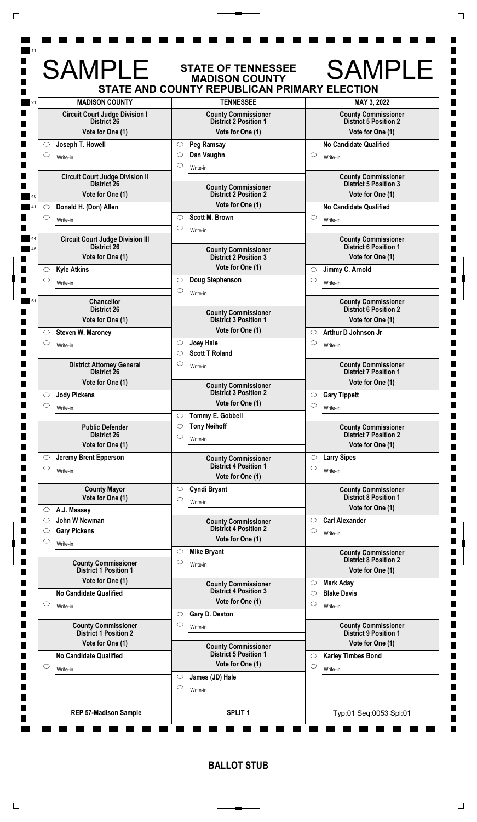|                                                            | <b>MADISON COUNTY</b><br>STATE AND COUNTY REPUBLICAN PRIMARY ELECTION |                                                            |
|------------------------------------------------------------|-----------------------------------------------------------------------|------------------------------------------------------------|
| <b>MADISON COUNTY</b>                                      | <b>TENNESSEE</b>                                                      | MAY 3, 2022                                                |
| <b>Circuit Court Judge Division I</b><br>District 26       | <b>County Commissioner</b><br><b>District 2 Position 1</b>            | <b>County Commissioner</b><br><b>District 5 Position 2</b> |
| Vote for One (1)                                           | Vote for One (1)                                                      | Vote for One (1)                                           |
| Joseph T. Howell<br>$\circ$                                | Peg Ramsay<br>$\circlearrowright$                                     | <b>No Candidate Qualified</b>                              |
| $\circ$<br>Write-in                                        | Dan Vaughn<br>O                                                       | $\circ$<br>Write-in                                        |
| <b>Circuit Court Judge Division II</b>                     | C<br>Write-in                                                         | <b>County Commissioner</b>                                 |
| District <sub>26</sub>                                     | <b>County Commissioner</b>                                            | <b>District 5 Position 3</b>                               |
| Vote for One (1)                                           | <b>District 2 Position 2</b><br>Vote for One (1)                      | Vote for One (1)                                           |
| Donald H. (Don) Allen<br>O<br>$\circ$                      | <b>Scott M. Brown</b><br>$\circ$                                      | <b>No Candidate Qualified</b><br>$\circ$                   |
| Write-in                                                   | $\circ$<br>Write-in                                                   | Write-in                                                   |
| <b>Circuit Court Judge Division III</b>                    |                                                                       | <b>County Commissioner</b>                                 |
| <b>District 26</b><br>Vote for One (1)                     | <b>County Commissioner</b><br><b>District 2 Position 3</b>            | <b>District 6 Position 1</b><br>Vote for One (1)           |
| <b>Kyle Atkins</b><br>$\circlearrowright$                  | Vote for One (1)                                                      | Jimmy C. Arnold<br>$\circ$                                 |
| $\circ$<br>Write-in                                        | Doug Stephenson<br>$\circ$                                            | $\circ$<br>Write-in                                        |
|                                                            | $\circlearrowright$<br>Write-in                                       |                                                            |
| <b>Chancellor</b><br><b>District 26</b>                    |                                                                       | <b>County Commissioner</b><br><b>District 6 Position 2</b> |
| Vote for One (1)                                           | <b>County Commissioner</b><br><b>District 3 Position 1</b>            | Vote for One (1)                                           |
| Steven W. Maroney<br>$\circ$                               | Vote for One (1)                                                      | Arthur D Johnson Jr<br>$\circ$                             |
| $\circ$<br>Write-in                                        | <b>Joey Hale</b><br>$\circ$                                           | $\circlearrowright$<br>Write-in                            |
|                                                            | <b>Scott T Roland</b><br>◯                                            |                                                            |
| <b>District Attorney General</b><br>District 26            | $\circ$<br>Write-in                                                   | <b>County Commissioner</b><br><b>District 7 Position 1</b> |
| Vote for One (1)                                           | <b>County Commissioner</b>                                            | Vote for One (1)                                           |
| <b>Jody Pickens</b><br>$\circ$                             | <b>District 3 Position 2</b>                                          | <b>Gary Tippett</b><br>$\circ$                             |
| $\circ$<br>Write-in                                        | Vote for One (1)                                                      | $\circ$<br>Write-in                                        |
| <b>Public Defender</b>                                     | Tommy E. Gobbell<br>$\circ$<br><b>Tony Neihoff</b><br>C               | <b>County Commissioner</b>                                 |
| <b>District 26</b>                                         | C<br>Write-in                                                         | <b>District 7 Position 2</b>                               |
| Vote for One (1)                                           |                                                                       | Vote for One (1)                                           |
| Jeremy Brent Epperson<br>$\circ$<br>$\circ$                | <b>County Commissioner</b><br><b>District 4 Position 1</b>            | <b>Larry Sipes</b><br>$\circlearrowright$<br>$\circ$       |
| Write-in                                                   | Vote for One (1)                                                      | Write-in                                                   |
| <b>County Mayor</b>                                        | Cyndi Bryant<br>$\circ$                                               | <b>County Commissioner</b>                                 |
| Vote for One (1)                                           | $\circlearrowright$<br>Write-in                                       | <b>District 8 Position 1</b><br>Vote for One (1)           |
| A.J. Massey<br>$\circ$<br>John W Newman<br>$\circ$         |                                                                       | <b>Carl Alexander</b><br>$\circ$                           |
| <b>Gary Pickens</b><br>$\circlearrowright$                 | <b>County Commissioner</b><br><b>District 4 Position 2</b>            | $\circ$<br>Write-in                                        |
| $\circ$<br>Write-in                                        | Vote for One (1)                                                      |                                                            |
|                                                            | <b>Mike Bryant</b><br>$\circ$                                         | <b>County Commissioner</b><br><b>District 8 Position 2</b> |
| <b>County Commissioner</b><br><b>District 1 Position 1</b> | C<br>Write-in                                                         | Vote for One (1)                                           |
| Vote for One (1)                                           | <b>County Commissioner</b>                                            | <b>Mark Aday</b><br>$\circ$                                |
| <b>No Candidate Qualified</b>                              | <b>District 4 Position 3</b>                                          | <b>Blake Davis</b><br>$\circ$                              |
| $\circ$<br>Write-in                                        | Vote for One (1)<br>Gary D. Deaton<br>$\circlearrowright$             | $\circlearrowright$<br>Write-in                            |
| <b>County Commissioner</b>                                 | C<br>Write-in                                                         | <b>County Commissioner</b>                                 |
| <b>District 1 Position 2</b>                               |                                                                       | <b>District 9 Position 1</b>                               |
| Vote for One (1)                                           | <b>County Commissioner</b><br><b>District 5 Position 1</b>            | Vote for One (1)                                           |
| <b>No Candidate Qualified</b><br>$\circ$                   | Vote for One (1)                                                      | <b>Karley Timbes Bond</b><br>$\circ$<br>$\circ$            |
| Write-in                                                   | James (JD) Hale<br>$\circ$                                            | Write-in                                                   |
|                                                            | O<br>Write-in                                                         |                                                            |